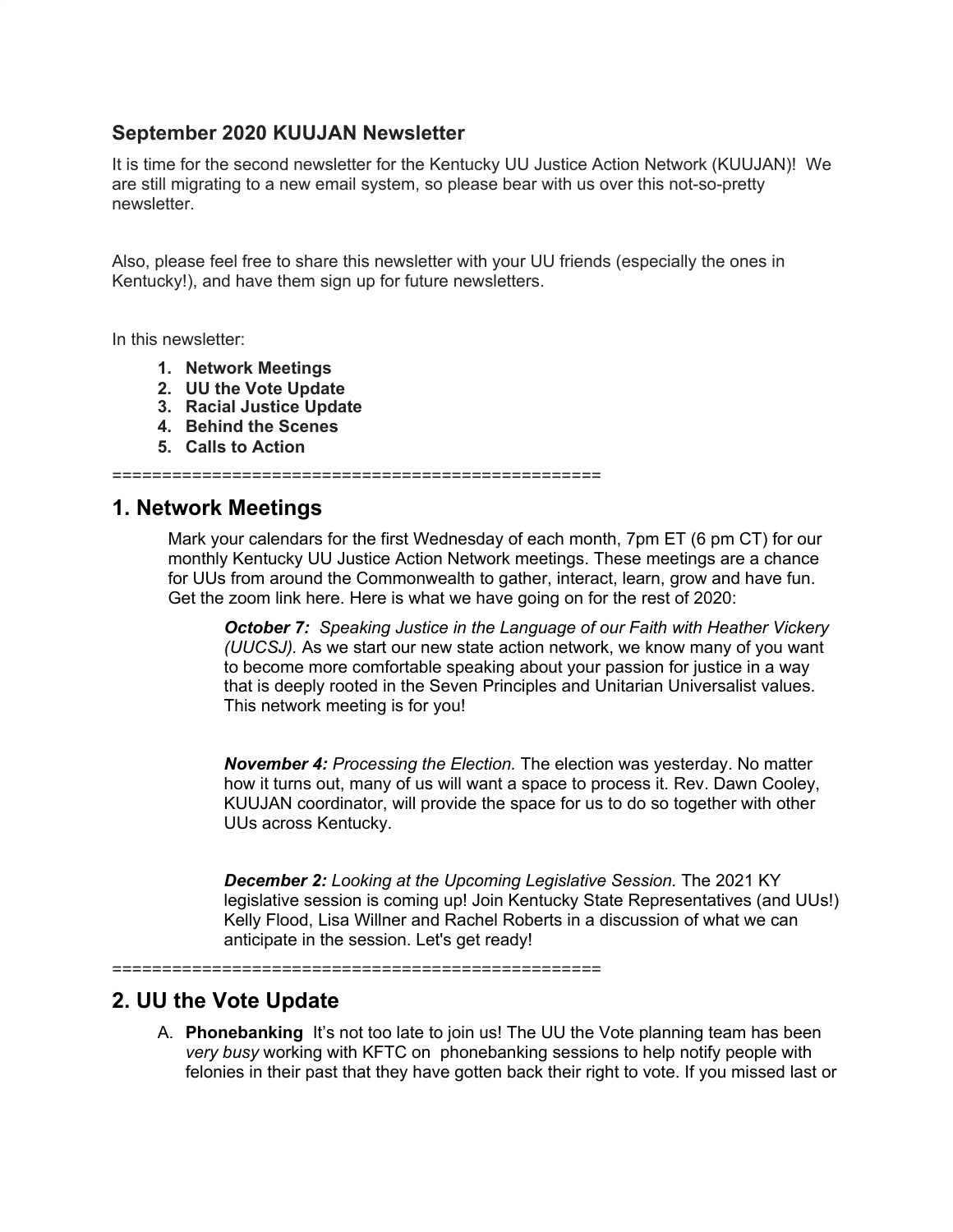#### **September 2020 KUUJAN Newsletter**

It is time for the second newsletter for the Kentucky UU Justice Action Network (KUUJAN)! We are still migrating to a new email system, so please bear with us over this not-so-pretty newsletter.

Also, please feel free to share this newsletter with your UU friends (especially the ones in Kentucky!), and have them sign up for future newsletters.

In this newsletter:

- **1. Network Meetings**
- **2. UU the Vote Update**
- **3. Racial Justice Update**
- **4. Behind the Scenes**
- **5. Calls to Action**

=================================================

#### **1. Network Meetings**

Mark your calendars for the first Wednesday of each month, 7pm ET (6 pm CT) for our monthly Kentucky UU Justice Action Network meetings. These meetings are a chance for UUs from around the Commonwealth to gather, interact, learn, grow and have fun. Get the zoom link here. Here is what we have going on for the rest of 2020:

*October 7: Speaking Justice in the Language of our Faith with Heather Vickery (UUCSJ).* As we start our new state action network, we know many of you want to become more comfortable speaking about your passion for justice in a way that is deeply rooted in the Seven Principles and Unitarian Universalist values. This network meeting is for you!

*November 4: Processing the Election.* The election was yesterday. No matter how it turns out, many of us will want a space to process it. Rev. Dawn Cooley, KUUJAN coordinator, will provide the space for us to do so together with other UUs across Kentucky.

*December 2: Looking at the Upcoming Legislative Session.* The 2021 KY legislative session is coming up! Join Kentucky State Representatives (and UUs!) Kelly Flood, Lisa Willner and Rachel Roberts in a discussion of what we can anticipate in the session. Let's get ready!

=================================================

### **2. UU the Vote Update**

A. **Phonebanking** It's not too late to join us! The UU the Vote planning team has been *very busy* working with KFTC on phonebanking sessions to help notify people with felonies in their past that they have gotten back their right to vote. If you missed last or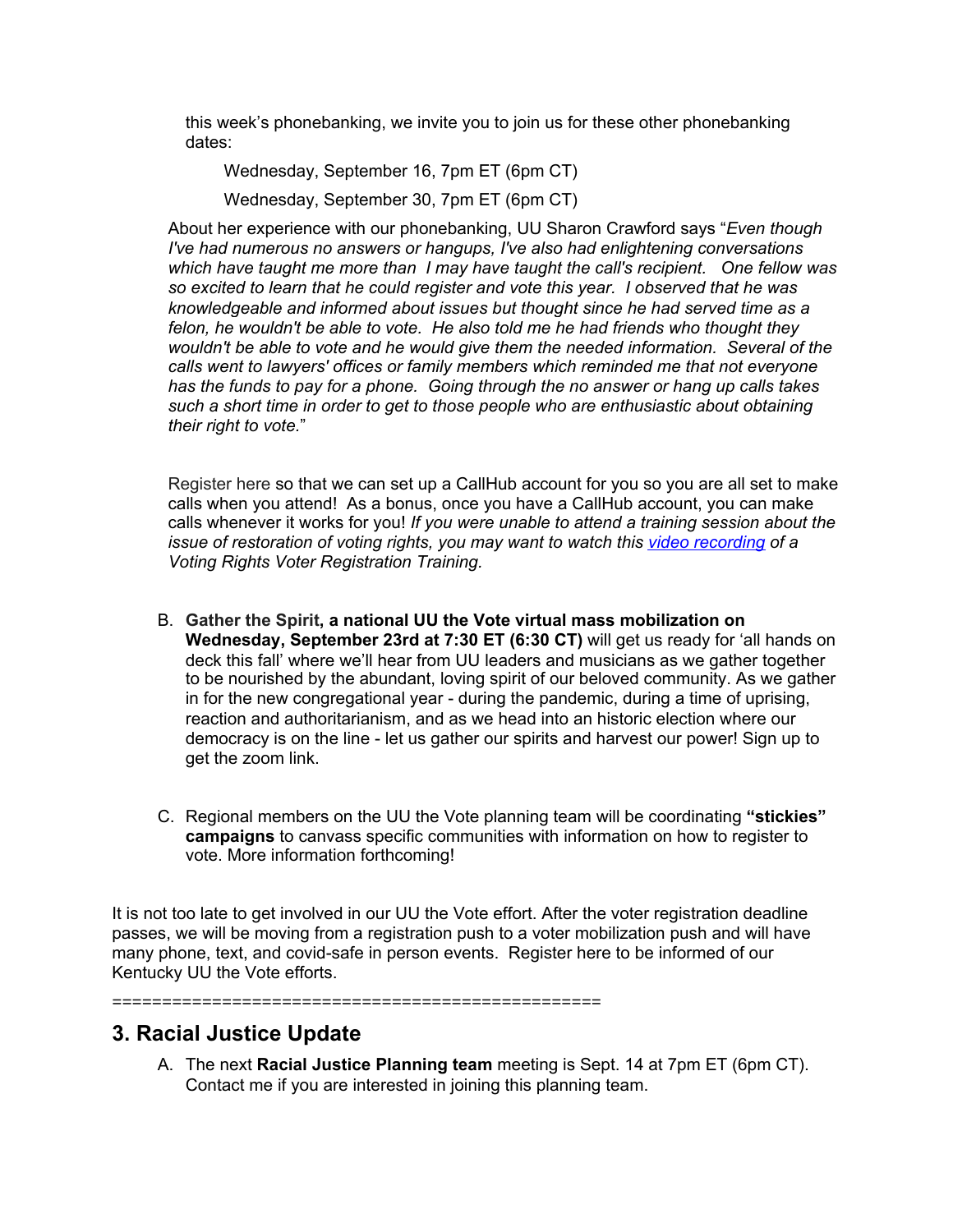this week's phonebanking, we invite you to join us for these other phonebanking dates:

Wednesday, September 16, 7pm ET (6pm CT) Wednesday, September 30, 7pm ET (6pm CT)

About her experience with our phonebanking, UU Sharon Crawford says "*Even though I've had numerous no answers or hangups, I've also had enlightening conversations which have taught me more than I may have taught the call's recipient. One fellow was so excited to learn that he could register and vote this year. I observed that he was knowledgeable and informed about issues but thought since he had served time as a felon, he wouldn't be able to vote. He also told me he had friends who thought they wouldn't be able to vote and he would give them the needed information. Several of the calls went to lawyers' offices or family members which reminded me that not everyone has the funds to pay for a phone. Going through the no answer or hang up calls takes such a short time in order to get to those people who are enthusiastic about obtaining their right to vote.*"

Register here so that we can set up a CallHub account for you so you are all set to make calls when you attend! As a bonus, once you have a CallHub account, you can make calls whenever it works for you! *If you were unable to attend a training session about the issue of restoration of voting rights, you may want to watch thi[s](https://us02web.zoom.us/rec/share/XoM-qbcjvX3UumXIPRd99GQ_r3ot_44OZHiI0UE70CT6vUgxCM_BApl6AoaR-f4T.ng3q7ioqJAS4yPPs) video [recording](https://us02web.zoom.us/rec/share/XoM-qbcjvX3UumXIPRd99GQ_r3ot_44OZHiI0UE70CT6vUgxCM_BApl6AoaR-f4T.ng3q7ioqJAS4yPPs) of a Voting Rights Voter Registration Training.*

- B. **Gather the Spirit, a national UU the Vote virtual mass mobilization on Wednesday, September 23rd at 7:30 ET (6:30 CT)** will get us ready for 'all hands on deck this fall' where we'll hear from UU leaders and musicians as we gather together to be nourished by the abundant, loving spirit of our beloved community. As we gather in for the new congregational year - during the pandemic, during a time of uprising, reaction and authoritarianism, and as we head into an historic election where our democracy is on the line - let us gather our spirits and harvest our power! Sign up to get the zoom link.
- C. Regional members on the UU the Vote planning team will be coordinating **"stickies" campaigns** to canvass specific communities with information on how to register to vote. More information forthcoming!

It is not too late to get involved in our UU the Vote effort. After the voter registration deadline passes, we will be moving from a registration push to a voter mobilization push and will have many phone, text, and covid-safe in person events. Register here to be informed of our Kentucky UU the Vote efforts.

=================================================

### **3. Racial Justice Update**

A. The next **Racial Justice Planning team** meeting is Sept. 14 at 7pm ET (6pm CT). Contact me if you are interested in joining this planning team.